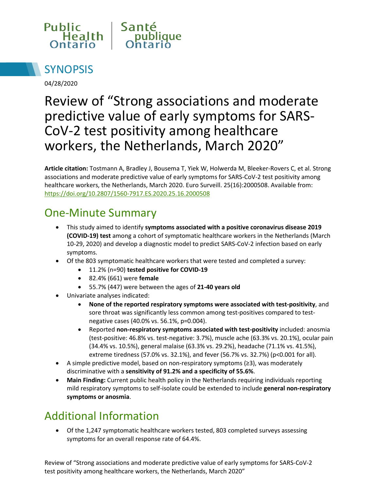



04/28/2020

# Review of "Strong associations and moderate predictive value of early symptoms for SARS-CoV-2 test positivity among healthcare workers, the Netherlands, March 2020"

**Article citation:** Tostmann A, Bradley J, Bousema T, Yiek W, Holwerda M, Bleeker-Rovers C, et al. Strong associations and moderate predictive value of early symptoms for SARS-CoV-2 test positivity among healthcare workers, the Netherlands, March 2020. Euro Surveill. 25(16):2000508. Available from: <https://doi.org/10.2807/1560-7917.ES.2020.25.16.2000508>

## One-Minute Summary

- This study aimed to identify **symptoms associated with a positive coronavirus disease 2019 (COVID-19) test** among a cohort of symptomatic healthcare workers in the Netherlands (March 10-29, 2020) and develop a diagnostic model to predict SARS-CoV-2 infection based on early symptoms.
- Of the 803 symptomatic healthcare workers that were tested and completed a survey:
	- 11.2% (n=90) **tested positive for COVID-19**
	- 82.4% (661) were **female**
	- 55.7% (447) were between the ages of **21-40 years old**
- Univariate analyses indicated:
	- **None of the reported respiratory symptoms were associated with test-positivity**, and sore throat was significantly less common among test-positives compared to testnegative cases (40.0% vs. 56.1%, p=0.004).
	- Reported **non-respiratory symptoms associated with test-positivity** included: anosmia (test-positive: 46.8% vs. test-negative: 3.7%), muscle ache (63.3% vs. 20.1%), ocular pain (34.4% vs. 10.5%), general malaise (63.3% vs. 29.2%), headache (71.1% vs. 41.5%), extreme tiredness (57.0% vs. 32.1%), and fever (56.7% vs. 32.7%) (p<0.001 for all).
- A simple predictive model, based on non-respiratory symptoms (≥3), was moderately discriminative with a **sensitivity of 91.2% and a specificity of 55.6%**.
- **Main Finding:** Current public health policy in the Netherlands requiring individuals reporting mild respiratory symptoms to self-isolate could be extended to include **general non-respiratory symptoms or anosmia**.

## Additional Information

• Of the 1,247 symptomatic healthcare workers tested, 803 completed surveys assessing symptoms for an overall response rate of 64.4%.

Review of "Strong associations and moderate predictive value of early symptoms for SARS-CoV-2 test positivity among healthcare workers, the Netherlands, March 2020"